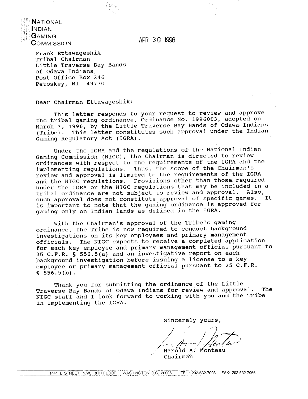**NATIONAL NDIAN**  ${\mathbf G}$ AMING COMMISSION

APR 30 I996

Frank Ettawageshik Tribal Chairman Little Traverse Bay Bands of Odawa Indians. Post Office Box 246 Petoskey, MI 49770

Dear Chairman Ettawageshik:

This letter responds to your request to review and approve the tribal gaming ordinance, ordinance No. 1996003, adopted on March 3, 1996, by the Little Traverse Bay Bands of Odawa Indians (Tribe). This letter constitutes such approval under the Indian Gaming Regulatory Act (IGRA).

Under the IGRA and the regulations of the National Indian Gaming Commission (NIGC), the Chairman is directed to review ordinances with respect to the requirements of the IGRA and the implementing regulations. Thus, the scope of the Chairman's review and approval is limited to the requirements of the IGRA and the NIGC regulations. Provisions other than those required under the IGRA or the NIGC regulations that may be included in a tribal ordinance are not subject to review and approval. Also,<br>such approval does not constitute approval of specific games. It such approval does not constitute approval of specific games. is important to note that the gaming ordinance is approved for gaming only on Indian lands as defined in the IGRA.

With the Chairman's approval of the Tribe's gaming ordinance, the Tribe is now required to conduct background investigations on its key employees and primary management officials. The NIGC expects to receive a completed application for each key employee and primary management official pursuant to 25 **C.F.R.** § 556.5(a) and an investigative report on each background investigation before issuing a license to a key employee or primary management official pursuant to 25 **C.F.R. S** 556.5(b).

Thank you for submitting the ordinance of the Little Traverse Bay Bands of Odawa Indians for review and approval. The NIGC staff and I look forward to working with you and the Tribe in implementing the IGRA.

Sincerely yours,

 $\sim$ 

Harold A.<br>Chairman Monteau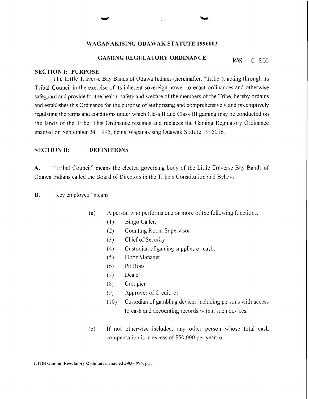## **WAGANAKISING ODAWAK STATUTE 1996003**

# **GAMING REGULATORY ORDINANCE** MAR 6 1936

#### **SECTION I: PURPOSE**

The Little Traverse Bay Bands of Odawa Indians (hereinafter, "Tribe"), acting through its Tribal Council in the exercise of its inherent sovereign power to enact ordinances and otherwise safeguard and provide for the health, safety and welfare of the members of the Tribe, hereby ordains and establishes this Ordinance for the purpose of authorizing and comprehensively and preemptively regulating the terms and conditions under which Class I1 and Class I11 gaming may be conducted on the lands of the Tribe. This Ordinance rescinds and replaces the Gaming Regulatory Ordinance enacted on September 24, 1995, being Waganakising Odawak Statute 1995016.

#### **SECTION 11: DEFINITIONS**

**A.** "Tribal Council" means the elected governing body of the Little Traverse Bay Bands of Odawa Indians called the Board of Directors in the Tribe's Constitution and Bylaws

**B.** "Key employee" means

- (a) A person who performs one or more of the following functions:
	- (1) Bingo Caller,
	- (2) Counting Room Supervisor
	- (3) Chief of Security
	- (4) Custodian of gaming supplies or cash,
	- (5) Floor hlanager
	- (6) Pit Boss
	- (7) Dealer
	- (8) Croupier
	- (9) Approver of Credit, or
	- (10) Custodian of gambling devices including persons with access to cash and accounting records within such devices,
- (b) If not otherwise included, any other person whose total cash compensation is in excess of \$50,000 per year; or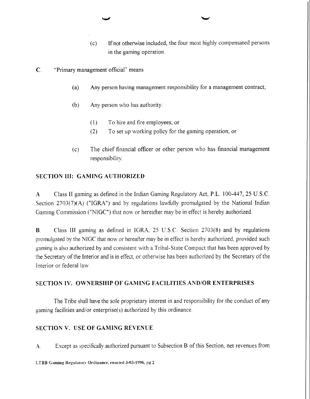- (c) If not otherwise included, the four most highly compensated persons in the gaming operation.
- **C.** "Primary management official" means
	- (a) Any person having management responsibility for a management contract;
	- (b) Any person who has authority:
		- (1) To hire and fire employees; or
		- (2) To set up working policy for the gaming operation; or
	- (c) The chief financial officer or other person who has financial management responsibility.

## **SECTION III: GAMING AUTHORIZED**

**A** Class I1 gaming as defined in the Indian Gaming Regulatory Act, P.L. 100-447, *25* U.S.C. Section 2703(7)(A) ("IGRA") and by regulations lawfilly promulgated by the National Indian Gaming Commission ("NIGC") that now or hereafter may be in effect is hereby authorized.

**B.** Class I11 gaming as defined in IGRA, 25 U.S.C. Section 2703(8) and by regulations promulgated by the NIGC that now or hereafter may be in effect is hereby authorized, provided such gaming is also authorized by and consistent with a Tribal-State Compact that has been approved by the Secretary of the Interior and is in effect, or otherwise has been authorized by the Secretary of the Interior or federal law

## **SECTlON IV. OWNERSHIP OF GAMING FACILITIES AND/OR ENTERPRISES**

The Tribe shall have the sole proprietary interest in and responsibility for the conduct of any gaming facilities and/or enterprise(s) authorized by this ordinance.

## **SECTION V. USE OF GAMING REVENUE**

**4.** Except as specifically authorized pursuant to Subsection B of this Section, net revenues from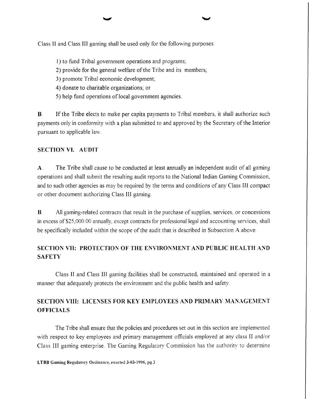Class 11 and Class 111 gaming shall be used only for the following purposes:

- 1) to fund Tribal government operations and programs;
- 2) provide for the general welfare of the Tribe and its members;
- 3) promote Tribal economic development;
- 4) donate to charitable organizations; or
- 5) help fund operations of local government agencies.

**B.** If the Tribe elects to make per capita payments to Tribal members, it shall authorize such payments only in conforniity with a plan submitted to and approved by the Secretary of the Interior pursuant to applicable law.

# **SECTION VI. AUDIT**

A. The Tribe shall cause to be conducted at least annually an independent audit of all gaming operations and shall submit the resulting audit reports to the National Indian Gaming Commission, and to such other agencies as may be required by the terms and conditions of any Class 111 compact or other document authorizing Class I11 gaming.

**B.** All gaming-related contracts that result in the purchase of supplies, services, or concessions in excess of \$25,000.00 annually, except contracts for professional legal and accounting services, shall be specifically included within the scope of the audit that is described in Subsection A above.

# **SECTION VII: PROTECTION OF THE ENVIRONMENT AND PUBLIC HEALTH AND SAFETY**

Class I1 and Class 111 gaming facilities shall be constructed, maintained and operated in a manner that adequately protects the environment and the public health and safety.

# **SECTION VIII: LICENSES FOR KEY EMPLOYEES AND PRIMARY MANAGEMENT OFFICIALS**

The Tribe shall ensure that the policies and procedures set out in this section are implemented with respect to key employees and primary management officials employed at any class II and/or Class 111 gaming enterprise. The Gaming Regularory Commission has the authority to deterniine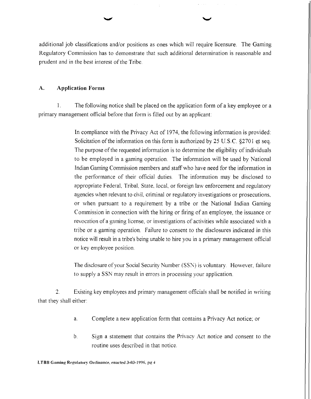additional job classifications and/or positions as ones which will require licensure. The Gaming Regulatory Commission has to demonstrate that such additional determination is reasonable and prudent and in the best interest of the Tribe.

#### A. **Application Forms**

1. The following notice shall be placed on the application form of a key employee or a primary management official before that form is filled out by an applicant:

> In compliance with the Privacy Act of 1974, the following information is provided: Solicitation of the information on this form is authorized by 25 U.S.C. \$2701 et seq. The purpose of the requested information is to determine the eligibility of individuals to be employed in a gaming operation. The information will be used by National Indian Gaming Commission members and staff who have need for the information in the performance of their official duties. The information may be disclosed to appropriate Federal, Tribal, State, local, or foreign law enforcement and regulatory agencies when relevant to civil, criminal or regulatory investigations or prosecutions, or when pursuant to a requirement by a tribe or the National Indian Gaming Commission in connection with the hiring or firing of an employee, the issuance or revocation of a gaming license, or investigations of activities while associated with a tribe or a gaming operation. Failure to consent to the disclosures indicated in this notice will result in a tribe's being unable to hire you in a primary management official or key employee position.

> The disclosure of your Social Security Number (SSN) is voluntary. However. failure to supply a SSN may result in errors in processing your application.

*2.* Existing key employees and primary management officials shall be notified in writing that they shall either:

- a. Complete a new application form that contains a Privacy Act notice; or
- b. Sign a statement that contains the Privacy Act notice and consent to the routine uses described in that notice.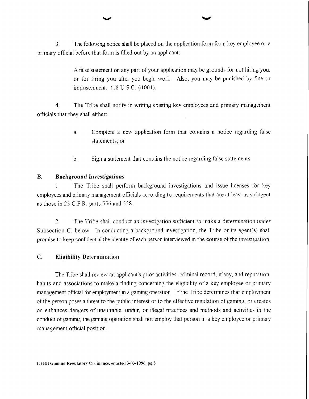**3.** The following notice shall be placed on the application form for a key employee or a primary official before that form is filled out by an applicant:

> A false statement on any part of your application may be grounds for not hiring you, or for firing you after you begin work. Also, you may be punished by fine or imprisonment. ( 18 U. S.C. *5* 100 1).

4. The Tribe shall notify in writing existing key employees and primary management officials that they shall either:

- a. Complete a new application form that contains a notice regarding false statements; or
- b. Sign a statement that contains the notice regarding false statements

# **B. Background Investigations**

1. The Tribe shall perform background investigations and issue licenses for key employees and primary management officials according to requirements that are at least as stringent as those in *25* C.F.R. parts 556 and 558.

2. The Tribe shall conduct an investigation sufficient to make a determination under Subsection C. below. In conducting a background investigation, the Tribe or its agent(s) shall promise to keep confidential the identity of each person interviewed in the course of the investigation.

# C. **Eligibility Determination**

The Tribe shall review an applicant's prior activities, criminal record, if any, and reputation, habits and associations to make a finding concerning the eligibility of a key employee or primary management official for employment in a gaming operation. If the Tribe determines that employment of the person poses a threat to the public interest or to the effective regulation of gaming, or creates or enhances dangers of unsuitable, unfair, or illegal practices and methods and activities in the conduct of gaming, the gaming operation shall not employ that person in a key employee or primary management official position.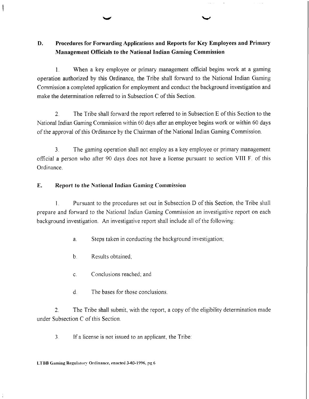# **D. Procedures for Forwarding Applications and Reports for Key Employees and Primary Management Officials to the National Indian Gaming Commission**

1. When a key employee or primary management official begins work at a gaming operation authorized by this Ordinance, the Tribe shall forward to the National Indian Gaming Commission a completed application for employment and conduct the background investigation and make the determination referred to in Subsection C of this Section.

2. The Tribe shall forward the report referred to in Subsection E of this Section to the National Indian Gaming Commission within 60 days after an employee begins work or within 60 days of the approval of this Ordinance by the Chairman of the National Indian Gaming Commission.

3. The gaming operation shall not employ as a key employee or primary management official a person who after 90 days does not have a license pursuant to section VIII F. of this Ordinance.

# **E. Report to the National Indian Gaming Commission**

1. Pursuant to the procedures set out in Subsection D of this Section, the Tribe shall prepare and fonvard to the National Indian Gaming Commission an investigative report on each background investigation. An investigative report shall include all of the following:

a. Steps taken in conducting the background investigation;

b. Results obtained,

c. Conclusions reached; and

d. The bases for those conclusions.

2. The Tribe shall submit, with the report, a copy of the eligibility determination made under Subsection C of this Section.

**3.** If a license is not issued to an applicant, the Tribe: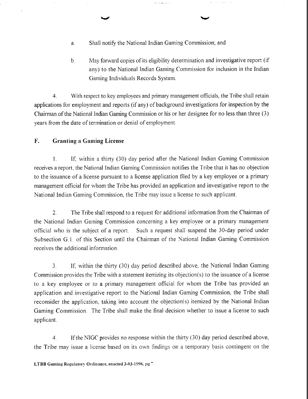- a. Shall notify the National Indian Gaming Commission; and
- b. May forward copies of its eligibility determination and investigative report (if any) to the National Indian Gaming Commission for inclusion in the Indian Gaming Individuals Records System.

4. With respect to key employees and primary management officials, the Tribe shall retain applications for employment and reports (if any) of background investigations for inspection by the Chairman of the National Indian Gaming Commission or his or her designee for no less than three (3) years from the date of termination or denial of employment.

# **F.** Granting a Gaming License

1. If, within a thirty (30) day period after the National Indian Gaming Commission receives a report, the National Indian Gaming Commission notifies the Tribe that it has no objection to the issuance of a license pursuant to a license application filed by a key employee or a primary management official for whom the Tribe has provided an application and investigative report to the National Indian Gaming Commission, the Tribe may issue a license to such applicant.

2. The Tribe shall respond to a request for additional information from the Chairman of the National Indian Gaming Commission concerning a key employee or a primary management official who is the subject of a report. Such a request shall suspend the 30-day period under Subsection G. 1. of this Section until the Chairman of the National Indian Gaming Commission receives the additional information.

3. If, within the thirty (30) day period described above. the National Indian Gaming Commission provides the Tribe with a statement itemizing its objection(s) to the issuance of a license to a key employee or to a primary management official for whom the Tribe has provided an application and investigative report to the National Indian Gaming Commission, the Tribe shall reconsider the application, taking into account the objection(s) itemized by the National Indian Gaming Commission. The Tribe shall make the final decision whether to issue a license to such applicant.

4 If the NIGC provides no response within the thirty (30) day period described above, the Tribe may issue a license based on its own findings on a temporary basis contingent on the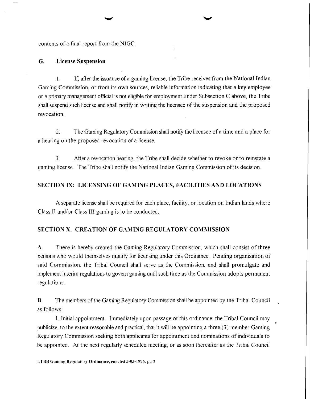contents of a final report from the NIGC.

#### **G. License Suspension**

1. If, after the issuance of a gaming license, the Tribe receives from the National Indian Gaming Commission, or from its own sources, reliable information indicating that a key employee or a primary management official is not eligible for employment under Subsection  $C$  above, the Tribe shall suspend such license and shall notify in writing the licensee of the suspension and the proposed revocation.

2. The Gaming Regulatory Commission shall notify the licensee of a time and a place for a hearing on the proposed revocation of a license.

**3.** After a revocation hearing, the Tribe shall decide whether to revoke or to reinstate a gaming license. The Tribe shall notify the National Indian Gaming Commission of its decision.

## **SECTION 1X: LICENSING OF GARilING PLACES, FACILITIES AND LOCATIONS**

A separate license shall be required for each place, facility, or location on Indian lands where Class II and/or Class III gaming is to be conducted.

## **SECTION X. CREATION OF GAMING REGULATORY COMMISSION**

**A.** There is hereby created the Gaming Regulatory Commission, which shall consist of three persons who would themselves qualify for licensing under this Ordinance. Pending organization of said Commission, the Tribal Council shall serve as the Commission, and shall promulgate and implement interim regulations to govern gaming until such time as the Commission adopts permanent regulations.

**B.** The members of the Gaming Regulatory Commission shall be appointed by the Tribal Council as follows:

1. Initial appointment Immediately upon passage of this ordinance, the Tribal Council may publicize, to the extent reasonable and practical, that it will be appointing a three (3) member Gaming Regulatory Commission seeking both applicants for appointment and nominations of individuals to be appointed. At the next regularly scheduled meeting, or as soon thereafter as the Tribal Council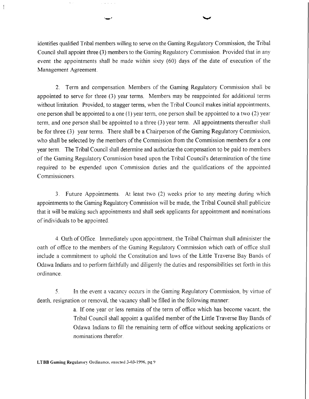identifies qualified Tribal members willing to serve on the Gaming Regulatory Commission, the Tribal Council shall appoint three (3) members to the Gaming Regulatory Commission. Provided that in any event the appointments shall be made within sixty (60) days of the date of execution of the Management Agreement.

2. Term and compensation. Members of the Gaming Regulatory Commission shall be appointed to serve for three (3) year terms. Members may be reappointed for additional terms without limitation. Provided, to stagger terms, when the Tribal Council makes initial appointments, one person shall be appointed to a one (1) year term, one person shall be appointed to a two (2) year term, and one person shall be appointed to a three (3) year term. All appointments thereafter shall be for three (3) year terms. There shall be a Chairperson of the Gaming Regulatory Commission, who shall be selected by the members of the Commission from the Commission members for a one year term. The Tribal Council shall determine and authorize the compensation to be paid to members of the Gaming Regulatory Commission based upon the Tribal Council's determination of the time required to be expended upon Commission duties and the qualifications of the appointed Commissioners.

3. Future Appointments. At least two (2) weeks prior to any meeting during which appointments to the Gaming Regulatory Commission will be made, the Tribal Council shall publicize that it will be making such appointments and shall seek applicants for appointment and nominations of individuals to be appointed.

4. Oath of Office. Immediately upon appointment, the Tribal Chairman shall administer the oath of ofice to the members of the Gaming Regulatory Commission which oath of ofice shall include a commitment to uphold the Constitution and laws of the Little Traverse Bay Bands of Odawa Indians and to perform faithfilly and diligently the duties and responsibilities set forth in this ordinance.

**5.** In the event a vacancy occurs in the Gaming Regulatory Commission, by virtue of death. resignation or removal, the vacancy shall be filled in the following manner:

> a. If one year or less remains of the term of office which has become vacant, the Tribal Council shall appoint a qualified member of the Little Traverse Bay Bands of Odawa Indians to fill the remaining term of ofice without seeking applications or nominations therefor.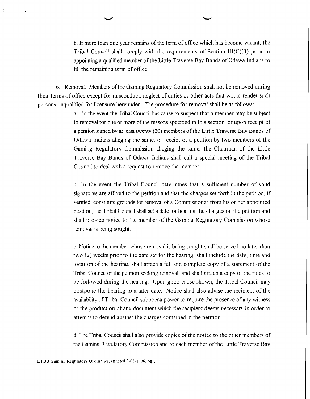b. If more than one year remains of the term of ofice which has become vacant, the Tribal Council shall comply with the requirements of Section III(C)(3) prior to appointing a qualified member of the Little Traverse Bay Bands of Odawa Indians to fill the remaining term of office.

6. Removal. Members of the Gaming Regulatory Commission shall not be removed during their terms of ofice except for misconduct, neglect of duties or other acts that would render such persons unqualified for Iicensure hereunder. The procedure for removal shall be as follows:

> a. In the event the Tribal Council has cause to suspect that a member may be subject to removal for one or more of the reasons specified in this section, or upon receipt of a petition signed by at least twenty (20) members of the Little Traverse Bay Bands of Odawa Indians alleging the same, or receipt of a petition by two members of the Gaming Regulatory Commission alleging the same, the Chairman of the Little Traverse Bay Bands of Odawa Indians shall call a special meeting of the Tribal Council to deal with a request to remove the member.

> b. In the event the Tribal Council determines that a sufficient number of valid signatures are affixed to the petition and that the charges set forth in the petition, if verified, constitute grounds for removal of a Commissioner from his or her appointed position, the Tribal Council shall set a date for hearing the charges on the petition and shall provide notice to the member of the Gaming Regulatory Commission whose removal is being sought.

> c. Notice to the member whose removal is being sought shall be served no later than two (2) weeks prior to the date set for the hearing, shall include the date, time and location of the hearing, shall attach a full and complete copy of a statement of the Tribal Council or the petition seeking removal, and shall attach a copy of the rules to be followed during the hearing. Upon good cause shown, the Tribal Council may postpone the hearing to a later date. Notice shall also advise the recipient of the availability of Tribal Council subpoena power to require the presence of any witness or the production of any document which the recipient deems necessary in order to attempt to defend against the charges contained in the petition.

> d. The Tribal Council shall also provide copies of the notice to the other members of the Gaming Regulatory Commission and to each member of the Little Traverse Bay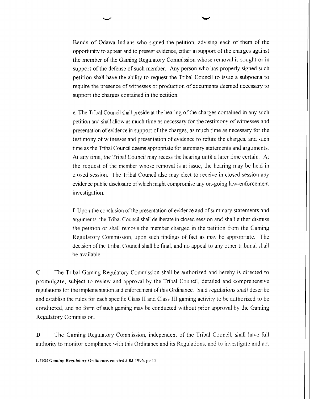Bands of Odawa Indians who signed the petition, advising each of them of the opportunity to appear and to present evidence, either in support of the charges against the member of the Gaming Regulatory Commission whose removal is sought or in support of the defense of such member. Any person who has properly signed such petition shall have the ability to request the Tribal Council to issue a subpoena to require the presence of witnesses or production of documents deemed necessary to support the charges contained in the petition.

e. The Tribal Council shall preside at the hearing of the charges contained in any such petition and shall allow as much time as necessary for the testimony of witnesses and presentation of evidence in support of the charges, as much time as necessary for the testimony of witnesses and presentation of evidence to rehte the charges, and such time as the Tribal Council deems appropriate for summary statements and arguments. At any time, the Tribal Council may recess the hearing until a later time certain. At the request of the member whose removal is at issue, the hearing may be held in closed session. The Tribal Council also may elect to receive in closed session any evidence public disclosure of which might compromise any on-going law-enforcement investigation.

f Upon the conclusion of the presentation of evidence and of summary statements and arguments, the Tribal Council shall deliberate in closed session and shall either dismiss the petition or shall remove the member charged in the petition from the Gaming Regulatory Commission, upon such findings of fact as may be appropriate. The decision ofthe Tribal Council shall be final, and no appeal to any other tribunal shall be available.

*C* The Tribal Gaming Regulatory Commission shall be authorized and hereby is directed to promulgate, subject to review and approval by the Tribal Council, detailed and comprehensive regulations for the implementation and enforcement of this Ordinance. Said regulations shall describe and establish the rules for each specific Class I1 and Class I11 gaming activity to be authorized to be conducted, and no form of such gaming may be conducted without prior approval by the Gaming Regulatory Commission

**D.** The Gaming Regulatory Commission, independent of the Tribal Council, shall have full authority to monitor compliance with this Ordinance and its Regulations, and to investigate and act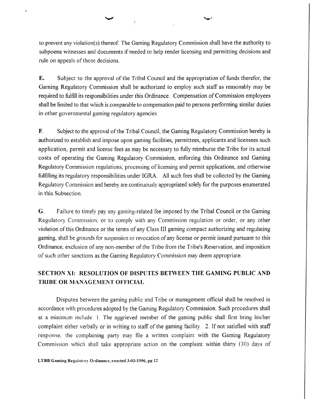# $\mathbf{A}_j$

to prevent any violation(s) thereof. The Gaming Regulatory Commission shall have the authority to subpoena witnesses and documents if needed to help render licensing and permitting decisions and rule on appeals of those decisions.

**E.** Subject to the approval of the Tribal Council and the appropriation of funds therefor, the Gaming Regulatory Commission shall be authorized to employ such staff as reasonably may be required to hlfill its responsibilities under this Ordinance. Compensation of Commission employees shall be limited to that which is comparable to compensation paid to persons performing similar duties in other governmental gaming regulatory agencies.

**F.** Subject to the approval of the Tribal Council, the Gaming Regulatory Commission hereby is authorized to establish and impose upon gaming facilities, permittees, applicants and licensees such application, permit and license fees as may be necessary to fully reimburse the Tribe for its actual costs of operating the Gaming Regulatory Commission, enforcing this Ordinance and Gaming Regulatory Commission regulations, processing of licensing and permit applications, and otherwise fulfilling its regulatory responsibilities under IGRA. All such fees shall be collected by the Gaming Regulatory Commission and hereby are continuously appropriated solely for the purposes enumerated in this Subsection.

**G.** Failure to timely pay any gaming-related fee imposed by the Tribal Council or the Gaming Regulatory Commission, or to comply with any Commission regulation or order, or any other violation of this Ordinance or the terms of any Class 111 gaming compact authorizing and regulating gaming, shall be grounds for suspension or revocation of any license or permit issued pursuant to this Ordinance, exclusion of any non-member of the Tribe from the Tribe's Reservation, and imposition of such other sanctions as the Gaming Regulatory Commission may deem appropriate.

# **SECTION XI: RESOLUTlON OF DISPUTES BETWEEN THE GAMING PUBLIC AND TRIBE OR MANAGEMENT OFFICIAL**

Disputes between the gaming public and Tribe or management official shall be resolved in accordance with procedures adopted by the Gaming Regulatory Commission. Such procedures shall at a minimum include: 1. The aggrieved member of the gaming public shall first bring his/her complaint either verbally or in writing to staff of the gaming facility. 2. If not satisfied with staff response. the complaining party may file a written complaint with the Gaming Regulatory Commission which shall take appropriate action on the complaint within thirty (30) days of